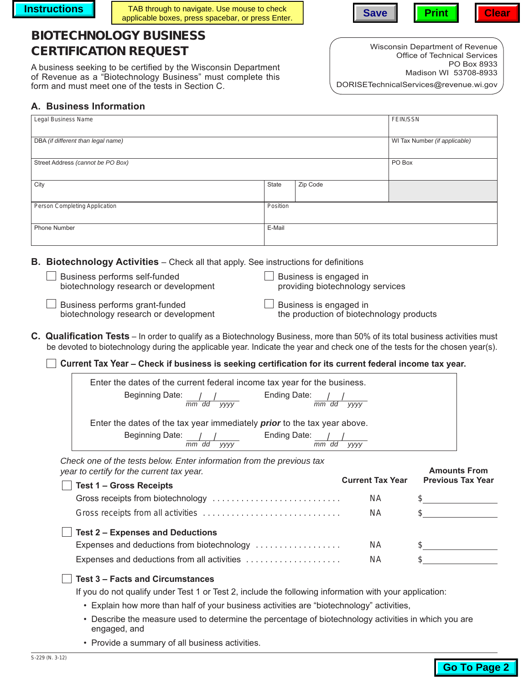**Instructions TAB** through to navigate. Use mouse to check applicable boxes, press spacebar, or press Enter. **Save Print Print Clear** 

# **BIOTECHNOLOGY BUSINESS CERTIFICATION REQUEST**

A business seeking to be certified by the Wisconsin Department of Revenue as a "Biotechnology Business" must complete this form and must meet one of the tests in Section C.

Wisconsin Department of Revenue Office of Technical Services PO Box 8933 Madison WI 53708-8933

DORISETechnicalServices@revenue.wi.gov

## **A. Business Information**

| Legal Business Name                |          | FEIN/SSN |                               |
|------------------------------------|----------|----------|-------------------------------|
| DBA (if different than legal name) |          |          | WI Tax Number (if applicable) |
| Street Address (cannot be PO Box)  |          |          | PO Box                        |
| City                               | State    | Zip Code |                               |
| Person Completing Application      | Position |          |                               |
| Phone Number                       | E-Mail   |          |                               |

**B. Biotechnology Activities** – Check all that apply. See instructions for definitions

Business performs self-funded biotechnology research or development

|  | $\Box$ Business is engaged in    |  |
|--|----------------------------------|--|
|  | providing biotechnology services |  |

Business performs grant-funded biotechnology research or development  $\Box$  Business is engaged in the production of biotechnology products

- **C. Qualification Tests** In order to qualify as a Biotechnology Business, more than 50% of its total business activities must be devoted to biotechnology during the applicable year. Indicate the year and check one of the tests for the chosen year(s).
	- **Current Tax Year Check if business is seeking certification for its current federal income tax year.**

| Enter the dates of the current federal income tax year for the business.        |                      |
|---------------------------------------------------------------------------------|----------------------|
| Beginning Date:                                                                 | Ending Date:         |
| mm dd<br><b>VVVV</b>                                                            | mm dd<br><b>VVVV</b> |
| Enter the dates of the tax year immediately <b>prior</b> to the tax year above. |                      |
| Beginning Date:                                                                 | Ending Date:         |
| mm<br><b>VVVV</b><br>dd                                                         | <b>VVVV</b><br>mm dd |

*Check one of the tests below. Enter information from the previous tax year to certify for the current tax year.*

| barro contriguor tho carronictan goan.<br>$\blacksquare$ Test 1 – Gross Receipts | <b>Current Tax Year</b> | <b>Previous Tax Year</b> |
|----------------------------------------------------------------------------------|-------------------------|--------------------------|
|                                                                                  | NA.                     |                          |
|                                                                                  | NA.                     |                          |
| $\Box$ Test 2 – Expenses and Deductions                                          |                         |                          |
| Expenses and deductions from biotechnology                                       | <b>NA</b>               |                          |
| Expenses and deductions from all activities                                      | ΝA                      |                          |
|                                                                                  |                         |                          |



If you do not qualify under Test 1 or Test 2, include the following information with your application:

- Explain how more than half of your business activities are "biotechnology" activities,
- Describe the measure used to determine the percentage of biotechnology activities in which you are engaged, and
- Provide a summary of all business activities.

**Amounts From**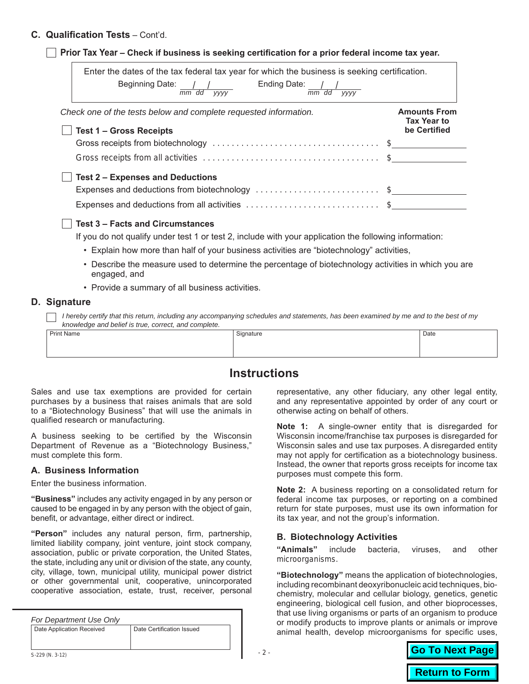## **C. Qualification Tests** – Cont'd.

| Enter the dates of the tax federal tax year for which the business is seeking certification.<br>Ending Date: $\frac{1}{mn} \frac{1}{dd} \frac{1}{yyyy}$<br>Beginning Date: / /<br>$\overline{mm}$ dd yyyy |                                                           |
|-----------------------------------------------------------------------------------------------------------------------------------------------------------------------------------------------------------|-----------------------------------------------------------|
| Check one of the tests below and complete requested information.<br><b>Test 1 - Gross Receipts</b>                                                                                                        | <b>Amounts From</b><br><b>Tax Year to</b><br>be Certified |
|                                                                                                                                                                                                           |                                                           |
|                                                                                                                                                                                                           |                                                           |
|                                                                                                                                                                                                           |                                                           |
| <b>Test 2 - Expenses and Deductions</b>                                                                                                                                                                   |                                                           |
| Expenses and deductions from biotechnology \$                                                                                                                                                             |                                                           |
| Expenses and deductions from all activities \$                                                                                                                                                            |                                                           |
| <b>Test 3 - Facts and Circumstances</b>                                                                                                                                                                   |                                                           |
| If you do not qualify under test 1 or test 2, include with your application the following information:                                                                                                    |                                                           |
| • Explain how more than half of your business activities are "biotechnology" activities,                                                                                                                  |                                                           |
| • Describe the measure used to determine the percentage of biotechnology activities in which you are<br>engaged, and                                                                                      |                                                           |
| • Provide a summary of all business activities.                                                                                                                                                           |                                                           |
| <b>Signature</b>                                                                                                                                                                                          |                                                           |

*I hereby certify that this return, including any accompanying schedules and statements, has been examined by me and to the best of my knowledge and belief is true, correct, and complete.*

| <b>Print Name</b> | Signature | Date |
|-------------------|-----------|------|
|                   |           |      |
|                   |           |      |
|                   |           |      |

## **Instructions**

Sales and use tax exemptions are provided for certain purchases by a business that raises animals that are sold to a "Biotechnology Business" that will use the animals in qualified research or manufacturing.

A business seeking to be certified by the Wisconsin Department of Revenue as a "Biotechnology Business," must complete this form.

#### **A. Business Information**

**D. Signature**

Enter the business information.

**"Business"** includes any activity engaged in by any person or caused to be engaged in by any person with the object of gain, benefit, or advantage, either direct or indirect.

**"Person"** includes any natural person, firm, partnership, limited liability company, joint venture, joint stock company, association, public or private corporation, the United States, the state, including any unit or division of the state, any county, city, village, town, municipal utility, municipal power district or other governmental unit, cooperative, unincorporated cooperative association, estate, trust, receiver, personal

| For Department Use Only   |                           |  |
|---------------------------|---------------------------|--|
| Date Application Received | Date Certification Issued |  |
|                           |                           |  |
| $\cdots$                  |                           |  |

representative, any other fiduciary, any other legal entity, and any representative appointed by order of any court or otherwise acting on behalf of others.

**Note 1:** A single-owner entity that is disregarded for Wisconsin income/franchise tax purposes is disregarded for Wisconsin sales and use tax purposes. A disregarded entity may not apply for certification as a biotechnology business. Instead, the owner that reports gross receipts for income tax purposes must compete this form.

**Note 2:** A business reporting on a consolidated return for federal income tax purposes, or reporting on a combined return for state purposes, must use its own information for its tax year, and not the group's information.

## **B. Biotechnology Activities**

**"Animals"** include bacteria, viruses, and other microorganisms.

**"Biotechnology"** means the application of biotechnologies, including recombinant deoxyribonucleic acid techniques, biochemistry, molecular and cellular biology, genetics, genetic engineering, biological cell fusion, and other bioprocesses, that use living organisms or parts of an organism to produce or modify products to improve plants or animals or improve animal health, develop microorganisms for specific uses,